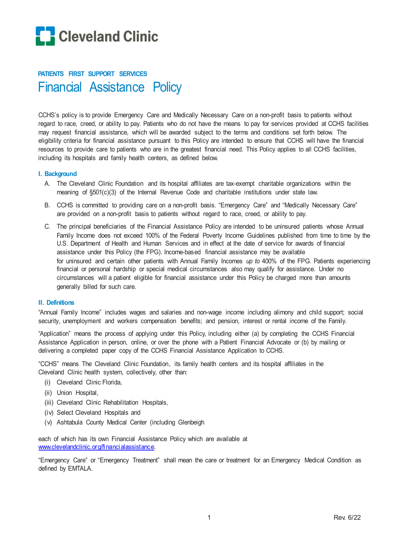

# **PATIENTS FIRST SUPPORT SERVICES** Financial Assistance Policy

CCHS's policy is to provide Emergency Care and Medically Necessary Care on a non-profit basis to patients without regard to race, creed, or ability to pay. Patients who do not have the means to pay for services provided at CCHS facilities may request financial assistance, which will be awarded subject to the terms and conditions set forth below. The eligibility criteria for financial assistance pursuant to this Policy are intended to ensure that CCHS will have the financial resources to provide care to patients who are in the greatest financial need. This Policy applies to all CCHS facilities, including its hospitals and family health centers, as defined below.

### **I. Background**

- A. The Cleveland Clinic Foundation and its hospital affiliates are tax-exempt charitable organizations within the meaning of §501(c)(3) of the Internal Revenue Code and charitable institutions under state law.
- B. CCHS is committed to providing care on a non-profit basis. "Emergency Care" and "Medically Necessary Care" are provided on a non-profit basis to patients without regard to race, creed, or ability to pay.
- C. The principal beneficiaries of the Financial Assistance Policy are intended to be uninsured patients whose Annual Family Income does not exceed 100% of the Federal Poverty Income Guidelines published from time to time by the U.S. Department of Health and Human Services and in effect at the date of service for awards of financial assistance under this Policy (the FPG). Income-based financial assistance may be available for uninsured and certain other patients with Annual Family Incomes *up to* 400% of the FPG. Patients experiencing financial or personal hardship or special medical circumstances also may qualify for assistance. Under no circumstances will a patient eligible for financial assistance under this Policy be charged more than amounts generally billed for such care.

#### **II. Definitions**

"Annual Family Income" includes wages and salaries and non-wage income including alimony and child support; social security, unemployment and workers compensation benefits; and pension, interest or rental income of the Family.

"Application" means the process of applying under this Policy, including either (a) by completing the CCHS Financial Assistance Application in person, online, or over the phone with a Patient Financial Advocate or (b) by mailing or delivering a completed paper copy of the CCHS Financial Assistance Application to CCHS.

"CCHS" means The Cleveland Clinic Foundation, its family health centers and its hospital affiliates in the Cleveland Clinic health system, collectively, other than:

- (i) Cleveland Clinic Florida,
- (ii) Union Hospital,
- (iii) Cleveland Clinic Rehabilitation Hospitals,
- (iv) Select Cleveland Hospitals and
- (v) Ashtabula County Medical Center (including Glenbeigh

each of which has its own Financial Assistance Policy which are available at [www.clevelandclinic.org/financialassistance.](http://www.clevelandclinic.org/financialassistance)

"Emergency Care" or "Emergency Treatment" shall mean the care or treatment for an Emergency Medical Condition as defined by EMTALA.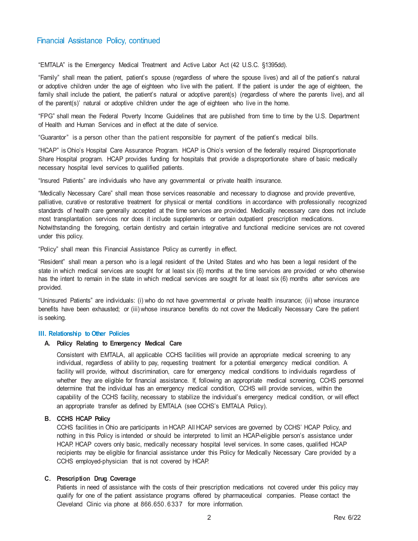"EMTALA" is the Emergency Medical Treatment and Active Labor Act (42 U.S.C. §1395dd).

"Family" shall mean the patient, patient's spouse (regardless of where the spouse lives) and all of the patient's natural or adoptive children under the age of eighteen who live with the patient. If the patient is under the age of eighteen, the family shall include the patient, the patient's natural or adoptive parent(s) (regardless of where the parents live), and all of the parent(s)' natural or adoptive children under the age of eighteen who live in the home.

"FPG" shall mean the Federal Poverty Income Guidelines that are published from time to time by the U.S. Department of Health and Human Services and in effect at the date of service.

"Guarantor" is a person other than the patient responsible for payment of the patient's medical bills.

"HCAP" is Ohio's Hospital Care Assurance Program. HCAP is Ohio's version of the federally required Disproportionate Share Hospital program. HCAP provides funding for hospitals that provide a disproportionate share of basic medically necessary hospital level services to qualified patients.

"Insured Patients" are individuals who have any governmental or private health insurance.

"Medically Necessary Care" shall mean those services reasonable and necessary to diagnose and provide preventive, palliative, curative or restorative treatment for physical or mental conditions in accordance with professionally recognized standards of health care generally accepted at the time services are provided. Medically necessary care does not include most transplantation services nor does it include supplements or certain outpatient prescription medications. Notwithstanding the foregoing, certain dentistry and certain integrative and functional medicine services are not covered under this policy.

"Policy" shall mean this Financial Assistance Policy as currently in effect.

"Resident" shall mean a person who is a legal resident of the United States and who has been a legal resident of the state in which medical services are sought for at least six (6) months at the time services are provided or who otherwise has the intent to remain in the state in which medical services are sought for at least six (6) months after services are provided.

"Uninsured Patients" are individuals: (i) who do not have governmental or private health insurance; (ii) whose insurance benefits have been exhausted; or (iii) whose insurance benefits do not cover the Medically Necessary Care the patient is seeking.

### **III. Relationship to Other Policies**

#### **A. Policy Relating to Emergency Medical Care**

Consistent with EMTALA, all applicable CCHS facilities will provide an appropriate medical screening to any individual, regardless of ability to pay, requesting treatment for a potential emergency medical condition. A facility will provide, without discrimination, care for emergency medical conditions to individuals regardless of whether they are eligible for financial assistance. If, following an appropriate medical screening, CCHS personnel determine that the individual has an emergency medical condition, CCHS will provide services, within the capability of the CCHS facility, necessary to stabilize the individual's emergency medical condition, or will effect an appropriate transfer as defined by EMTALA (see CCHS's EMTALA Policy).

### **B. CCHS HCAP Policy**

CCHS facilities in Ohio are participants in HCAP. All HCAP services are governed by CCHS' HCAP Policy, and nothing in this Policy is intended or should be interpreted to limit an HCAP-eligible person's assistance under HCAP. HCAP covers only basic, medically necessary hospital level services. In some cases, qualified HCAP recipients may be eligible for financial assistance under this Policy for Medically Necessary Care provided by a CCHS employed-physician that is not covered by HCAP.

### **C. Prescription Drug Coverage**

Patients in need of assistance with the costs of their prescription medications not covered under this policy may qualify for one of the patient assistance programs offered by pharmaceutical companies. Please contact the Cleveland Clinic via phone at 866.650. 6337 for more information.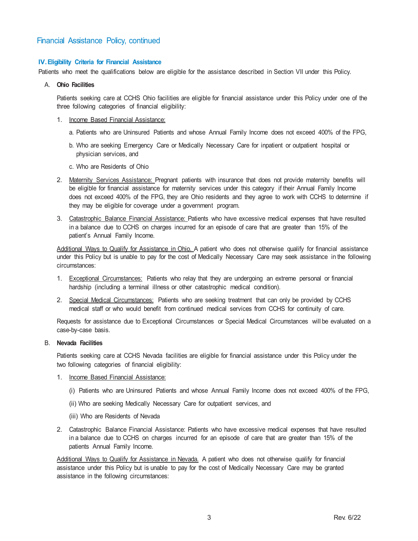### **IV.Eligibility Criteria for Financial Assistance**

Patients who meet the qualifications below are eligible for the assistance described in Section VII under this Policy.

### A. **Ohio Facilities**

Patients seeking care at CCHS Ohio facilities are eligible for financial assistance under this Policy under one of the three following categories of financial eligibility:

- 1. Income Based Financial Assistance:
	- a. Patients who are Uninsured Patients and whose Annual Family Income does not exceed 400% of the FPG,
	- b. Who are seeking Emergency Care or Medically Necessary Care for inpatient or outpatient hospital or physician services, and
	- c. Who are Residents of Ohio
- 2. Maternity Services Assistance: Pregnant patients with insurance that does not provide maternity benefits will be eligible for financial assistance for maternity services under this category if their Annual Family Income does not exceed 400% of the FPG, they are Ohio residents and they agree to work with CCHS to determine if they may be eligible for coverage under a government program.
- 3. Catastrophic Balance Financial Assistance: Patients who have excessive medical expenses that have resulted in a balance due to CCHS on charges incurred for an episode of care that are greater than 15% of the patient's Annual Family Income.

Additional Ways to Qualify for Assistance in Ohio. A patient who does not otherwise qualify for financial assistance under this Policy but is unable to pay for the cost of Medically Necessary Care may seek assistance in the following circumstances:

- 1. Exceptional Circumstances: Patients who relay that they are undergoing an extreme personal or financial hardship (including a terminal illness or other catastrophic medical condition).
- 2. Special Medical Circumstances: Patients who are seeking treatment that can only be provided by CCHS medical staff or who would benefit from continued medical services from CCHS for continuity of care.

Requests for assistance due to Exceptional Circumstances or Special Medical Circumstances will be evaluated on a case-by-case basis.

### B. **Nevada Facilities**

Patients seeking care at CCHS Nevada facilities are eligible for financial assistance under this Policy under the two following categories of financial eligibility:

### 1. Income Based Financial Assistance:

- (i) Patients who are Uninsured Patients and whose Annual Family Income does not exceed 400% of the FPG,
- (ii) Who are seeking Medically Necessary Care for outpatient services, and
- (iii) Who are Residents of Nevada
- 2. Catastrophic Balance Financial Assistance: Patients who have excessive medical expenses that have resulted in a balance due to CCHS on charges incurred for an episode of care that are greater than 15% of the patients Annual Family Income.

Additional Ways to Qualify for Assistance in Nevada. A patient who does not otherwise qualify for financial assistance under this Policy but is unable to pay for the cost of Medically Necessary Care may be granted assistance in the following circumstances: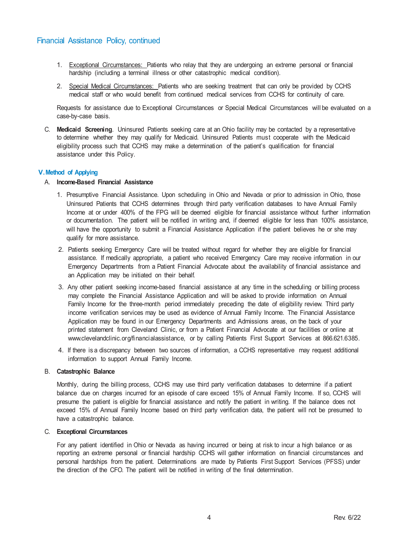- 1. Exceptional Circumstances: Patients who relay that they are undergoing an extreme personal or financial hardship (including a terminal illness or other catastrophic medical condition).
- 2. Special Medical Circumstances: Patients who are seeking treatment that can only be provided by CCHS medical staff or who would benefit from continued medical services from CCHS for continuity of care.

Requests for assistance due to Exceptional Circumstances or Special Medical Circumstances will be evaluated on a case-by-case basis.

C. **Medicaid Screening**. Uninsured Patients seeking care at an Ohio facility may be contacted by a representative to determine whether they may qualify for Medicaid. Uninsured Patients must cooperate with the Medicaid eligibility process such that CCHS may make a determination of the patient's qualification for financial assistance under this Policy.

### **V.Method of Applying**

### A. **Income-Based Financial Assistance**

- 1. Presumptive Financial Assistance. Upon scheduling in Ohio and Nevada or prior to admission in Ohio, those Uninsured Patients that CCHS determines through third party verification databases to have Annual Family Income at or under 400% of the FPG will be deemed eligible for financial assistance without further information or documentation. The patient will be notified in writing and, if deemed eligible for less than 100% assistance, will have the opportunity to submit a Financial Assistance Application if the patient believes he or she may qualify for more assistance.
- 2. Patients seeking Emergency Care will be treated without regard for whether they are eligible for financial assistance. If medically appropriate, a patient who received Emergency Care may receive information in our Emergency Departments from a Patient Financial Advocate about the availability of financial assistance and an Application may be initiated on their behalf.
- 3. Any other patient seeking income-based financial assistance at any time in the scheduling or billing process may complete the Financial Assistance Application and will be asked to provide information on Annual Family Income for the three-month period immediately preceding the date of eligibility review. Third party income verification services may be used as evidence of Annual Family Income. The Financial Assistance Application may be found in our Emergency Departments and Admissions areas, on the back of your printed statement from Cleveland Clinic, or from a Patient Financial Advocate at our facilities or online at [www.clevelandclinic.org/financialassistance,](http://www.clevelandclinic.org/financialassistance) or by calling Patients First Support Services at 866.621.6385.
- 4. If there is a discrepancy between two sources of information, a CCHS representative may request additional information to support Annual Family Income.

### B. **Catastrophic Balance**

Monthly, during the billing process, CCHS may use third party verification databases to determine if a patient balance due on charges incurred for an episode of care exceed 15% of Annual Family Income. If so, CCHS will presume the patient is eligible for financial assistance and notify the patient in writing. If the balance does not exceed 15% of Annual Family Income based on third party verification data, the patient will not be presumed to have a catastrophic balance.

### C. **Exceptional Circumstances**

For any patient identified in Ohio or Nevada as having incurred or being at risk to incur a high balance or as reporting an extreme personal or financial hardship CCHS will gather information on financial circumstances and personal hardships from the patient. Determinations are made by Patients First Support Services (PFSS) under the direction of the CFO. The patient will be notified in writing of the final determination.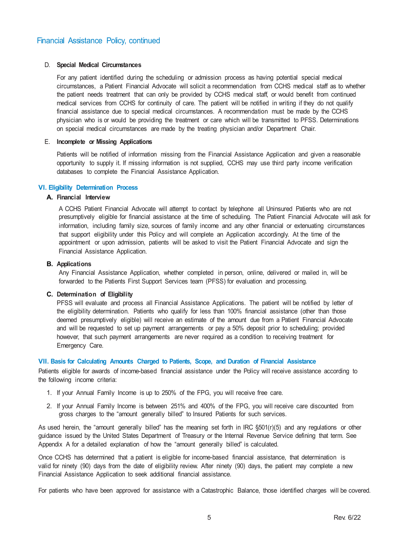### D. **Special Medical Circumstances**

For any patient identified during the scheduling or admission process as having potential special medical circumstances, a Patient Financial Advocate will solicit a recommendation from CCHS medical staff as to whether the patient needs treatment that can only be provided by CCHS medical staff, or would benefit from continued medical services from CCHS for continuity of care. The patient will be notified in writing if they do not qualify financial assistance due to special medical circumstances. A recommendation must be made by the CCHS physician who is or would be providing the treatment or care which will be transmitted to PFSS. Determinations on special medical circumstances are made by the treating physician and/or Department Chair.

### E. **Incomplete or Missing Applications**

Patients will be notified of information missing from the Financial Assistance Application and given a reasonable opportunity to supply it. If missing information is not supplied, CCHS may use third party income verification databases to complete the Financial Assistance Application.

### **VI. Eligibility Determination Process**

### **A. Financial Interview**

A CCHS Patient Financial Advocate will attempt to contact by telephone all Uninsured Patients who are not presumptively eligible for financial assistance at the time of scheduling. The Patient Financial Advocate will ask for information, including family size, sources of family income and any other financial or extenuating circumstances that support eligibility under this Policy and will complete an Application accordingly. At the time of the appointment or upon admission, patients will be asked to visit the Patient Financial Advocate and sign the Financial Assistance Application.

### **B. Applications**

Any Financial Assistance Application, whether completed in person, online, delivered or mailed in, will be forwarded to the Patients First Support Services team (PFSS) for evaluation and processing.

### **C. Determination of Eligibility**

PFSS will evaluate and process all Financial Assistance Applications. The patient will be notified by letter of the eligibility determination. Patients who qualify for less than 100% financial assistance (other than those deemed presumptively eligible) will receive an estimate of the amount due from a Patient Financial Advocate and will be requested to set up payment arrangements or pay a 50% deposit prior to scheduling; provided however, that such payment arrangements are never required as a condition to receiving treatment for Emergency Care.

### **VII. Basis for Calculating Amounts Charged to Patients, Scope, and Duration of Financial Assistance**

Patients eligible for awards of income-based financial assistance under the Policy will receive assistance according to the following income criteria:

- 1. If your Annual Family Income is up to 250% of the FPG, you will receive free care.
- 2. If your Annual Family Income is between 251% and 400% of the FPG, you will receive care discounted from gross charges to the "amount generally billed" to Insured Patients for such services.

As used herein, the "amount generally billed" has the meaning set forth in IRC §501(r)(5) and any regulations or other guidance issued by the United States Department of Treasury or the Internal Revenue Service defining that term. See Appendix A for a detailed explanation of how the "amount generally billed" is calculated.

Once CCHS has determined that a patient is eligible for income-based financial assistance, that determination is valid for ninety (90) days from the date of eligibility review. After ninety (90) days, the patient may complete a new Financial Assistance Application to seek additional financial assistance.

For patients who have been approved for assistance with a Catastrophic Balance, those identified charges will be covered.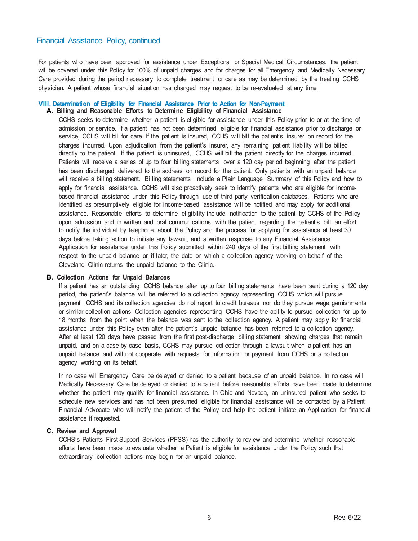For patients who have been approved for assistance under Exceptional or Special Medical Circumstances, the patient will be covered under this Policy for 100% of unpaid charges and for charges for all Emergency and Medically Necessary Care provided during the period necessary to complete treatment or care as may be determined by the treating CCHS physician. A patient whose financial situation has changed may request to be re-evaluated at any time.

#### **VIII. Determination of Eligibility for Financial Assistance Prior to Action for Non-Payment**

### **A. Billing and Reasonable Efforts to Determine Eligibility of Financial Assistance**

CCHS seeks to determine whether a patient is eligible for assistance under this Policy prior to or at the time of admission or service. If a patient has not been determined eligible for financial assistance prior to discharge or service, CCHS will bill for care. If the patient is insured, CCHS will bill the patient's insurer on record for the charges incurred. Upon adjudication from the patient's insurer, any remaining patient liability will be billed directly to the patient. If the patient is uninsured, CCHS will bill the patient directly for the charges incurred. Patients will receive a series of up to four billing statements over a 120 day period beginning after the patient has been discharged delivered to the address on record for the patient. Only patients with an unpaid balance will receive a billing statement. Billing statements include a Plain Language Summary of this Policy and how to apply for financial assistance. CCHS will also proactively seek to identify patients who are eligible for incomebased financial assistance under this Policy through use of third party verification databases. Patients who are identified as presumptively eligible for income-based assistance will be notified and may apply for additional assistance. Reasonable efforts to determine eligibility include: notification to the patient by CCHS of the Policy upon admission and in written and oral communications with the patient regarding the patient's bill, an effort to notify the individual by telephone about the Policy and the process for applying for assistance at least 30 days before taking action to initiate any lawsuit, and a written response to any Financial Assistance Application for assistance under this Policy submitted within 240 days of the first billing statement with respect to the unpaid balance or, if later, the date on which a collection agency working on behalf of the Cleveland Clinic returns the unpaid balance to the Clinic.

### **B. Collection Actions for Unpaid Balances**

If a patient has an outstanding CCHS balance after up to four billing statements have been sent during a 120 day period, the patient's balance will be referred to a collection agency representing CCHS which will pursue payment. CCHS and its collection agencies do not report to credit bureaus nor do they pursue wage garnishments or similar collection actions. Collection agencies representing CCHS have the ability to pursue collection for up to 18 months from the point when the balance was sent to the collection agency. A patient may apply for financial assistance under this Policy even after the patient's unpaid balance has been referred to a collection agency. After at least 120 days have passed from the first post-discharge billing statement showing charges that remain unpaid, and on a case-by-case basis, CCHS may pursue collection through a lawsuit when a patient has an unpaid balance and will not cooperate with requests for information or payment from CCHS or a collection agency working on its behalf.

In no case will Emergency Care be delayed or denied to a patient because of an unpaid balance. In no case will Medically Necessary Care be delayed or denied to a patient before reasonable efforts have been made to determine whether the patient may qualify for financial assistance. In Ohio and Nevada, an uninsured patient who seeks to schedule new services and has not been presumed eligible for financial assistance will be contacted by a Patient Financial Advocate who will notify the patient of the Policy and help the patient initiate an Application for financial assistance if requested.

### **C. Review and Approval**

CCHS's Patients First Support Services (PFSS) has the authority to review and determine whether reasonable efforts have been made to evaluate whether a Patient is eligible for assistance under the Policy such that extraordinary collection actions may begin for an unpaid balance.